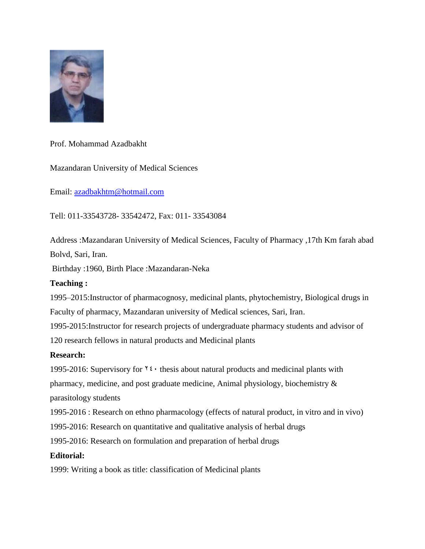

Prof. Mohammad Azadbakht

Mazandaran University of Medical Sciences

Email: [azadbakhtm@hotmail.com](mailto:azadbakhtm@hotmail.com)

Tell: 011-33543728- 33542472, Fax: 011- 33543084

Address :Mazandaran University of Medical Sciences, Faculty of Pharmacy ,17th Km farah abad Bolvd, Sari, Iran.

Birthday :1960, Birth Place :Mazandaran-Neka

## **Teaching :**

1995–2015:Instructor of pharmacognosy, medicinal plants, phytochemistry, Biological drugs in Faculty of pharmacy, Mazandaran university of Medical sciences, Sari, Iran.

1995-2015:Instructor for research projects of undergraduate pharmacy students and advisor of 120 research fellows in natural products and Medicinal plants

## **Research:**

1995-2016: Supervisory for  $\mathbf{Y}$ : thesis about natural products and medicinal plants with

pharmacy, medicine, and post graduate medicine, Animal physiology, biochemistry &

parasitology students

1995-2016 : Research on ethno pharmacology (effects of natural product, in vitro and in vivo)

1995-2016: Research on quantitative and qualitative analysis of herbal drugs

1995-2016: Research on formulation and preparation of herbal drugs

## **Editorial:**

1999: Writing a book as title: classification of Medicinal plants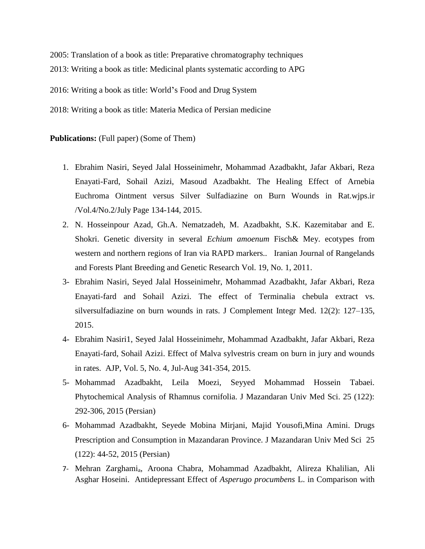2005: Translation of a book as title: Preparative chromatography techniques 2013: Writing a book as title: Medicinal plants systematic according to APG 2016: Writing a book as title: World's Food and Drug System 2018: Writing a book as title: Materia Medica of Persian medicine

## **Publications:** (Full paper) (Some of Them)

- 1. Ebrahim Nasiri, Seyed Jalal Hosseinimehr, Mohammad Azadbakht, Jafar Akbari, Reza Enayati-Fard, Sohail Azizi, Masoud Azadbakht. The Healing Effect of Arnebia Euchroma Ointment versus Silver Sulfadiazine on Burn Wounds in Rat.wjps.ir /Vol.4/No.2/July Page 134-144, 2015.
- 2. N. Hosseinpour Azad, Gh.A. Nematzadeh, M. Azadbakht, S.K. Kazemitabar and E. Shokri. Genetic diversity in several *Echium amoenum* Fisch& Mey. ecotypes from western and northern regions of Iran via RAPD markers.. Iranian Journal of Rangelands and Forests Plant Breeding and Genetic Research Vol. 19, No. 1, 2011.
- 3- Ebrahim Nasiri, Seyed Jalal Hosseinimehr, Mohammad Azadbakht, Jafar Akbari, Reza Enayati-fard and Sohail Azizi. The effect of Terminalia chebula extract vs. silversulfadiazine on burn wounds in rats. J Complement Integr Med. 12(2): 127–135, 2015.
- 4- Ebrahim Nasiri1, Seyed Jalal Hosseinimehr, Mohammad Azadbakht, Jafar Akbari, Reza Enayati-fard, Sohail Azizi. Effect of Malva sylvestris cream on burn in jury and wounds in rates. AJP, Vol. 5, No. 4, Jul-Aug 341-354, 2015.
- 5- Mohammad Azadbakht, Leila Moezi, Seyyed Mohammad Hossein Tabaei. Phytochemical Analysis of Rhamnus cornifolia. J Mazandaran Univ Med Sci. 25 (122): 292-306, 2015 (Persian)
- 6- Mohammad Azadbakht, Seyede Mobina Mirjani, Majid Yousofi,Mina Amini. Drugs Prescription and Consumption in Mazandaran Province. J Mazandaran Univ Med Sci 25 (122): 44-52, 2015 (Persian)
- 7- Mehran Zarghamia, Aroona Chabra, Mohammad Azadbakht, Alireza Khalilian, Ali Asghar Hoseini. Antidepressant Effect of *Asperugo procumbens* L. in Comparison with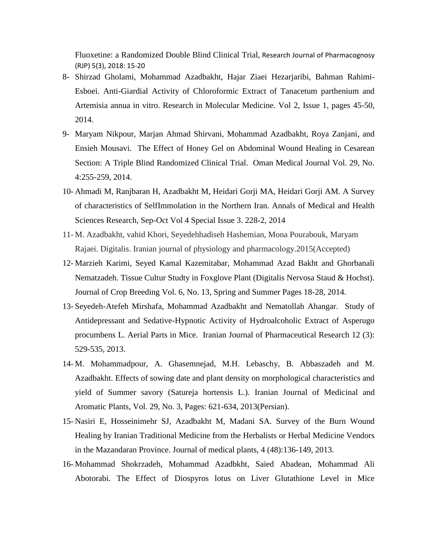Fluoxetine: a Randomized Double Blind Clinical Trial, Research Journal of Pharmacognosy (RJP) 5(3), 2018: 15-20

- 8- Shirzad Gholami, Mohammad Azadbakht, Hajar Ziaei Hezarjaribi, Bahman Rahimi-Esboei. Anti-Giardial Activity of Chloroformic Extract of Tanacetum parthenium and Artemisia annua in vitro. Research in Molecular Medicine. Vol 2, Issue 1, pages 45-50, 2014.
- 9- Maryam Nikpour, Marjan Ahmad Shirvani, Mohammad Azadbakht, Roya Zanjani, and Ensieh Mousavi. The Effect of Honey Gel on Abdominal Wound Healing in Cesarean Section: A Triple Blind Randomized Clinical Trial. Oman Medical Journal Vol. 29, No. 4:255-259, 2014.
- 10- Ahmadi M, Ranjbaran H, Azadbakht M, Heidari Gorji MA, Heidari Gorji AM. A Survey of characteristics of SelfImmolation in the Northern Iran. Annals of Medical and Health Sciences Research, Sep-Oct Vol 4 Special Issue 3. 228-2, 2014
- 11- M. Azadbakht, vahid Khori, Seyedehhadiseh Hashemian, Mona Pourabouk, Maryam Rajaei. Digitalis. Iranian journal of physiology and pharmacology.2015(Accepted)
- 12- Marzieh Karimi, Seyed Kamal Kazemitabar, Mohammad Azad Bakht and Ghorbanali Nematzadeh. Tissue Cultur Studty in Foxglove Plant (Digitalis Nervosa Staud & Hochst). Journal of Crop Breeding Vol. 6, No. 13, Spring and Summer Pages 18-28, 2014.
- 13- Seyedeh-Atefeh Mirshafa, Mohammad Azadbakht and Nematollah Ahangar. Study of Antidepressant and Sedative-Hypnotic Activity of Hydroalcoholic Extract of Asperugo procumbens L. Aerial Parts in Mice. Iranian Journal of Pharmaceutical Research 12 (3): 529-535, 2013.
- 14- M. Mohammadpour, A. Ghasemnejad, M.H. Lebaschy, B. Abbaszadeh and M. Azadbakht. Effects of sowing date and plant density on morphological characteristics and yield of Summer savory (Satureja hortensis L.). Iranian Journal of Medicinal and Aromatic Plants, Vol. 29, No. 3, Pages: 621-634, 2013(Persian).
- 15- Nasiri E, Hosseinimehr SJ, Azadbakht M, Madani SA. Survey of the Burn Wound Healing by Iranian Traditional Medicine from the Herbalists or Herbal Medicine Vendors in the Mazandaran Province. Journal of medical plants, 4 (48):136-149, 2013.
- 16- Mohammad Shokrzadeh, Mohammad Azadbkht, Saied Abadean, Mohammad Ali Abotorabi. The Effect of Diospyros lotus on Liver Glutathione Level in Mice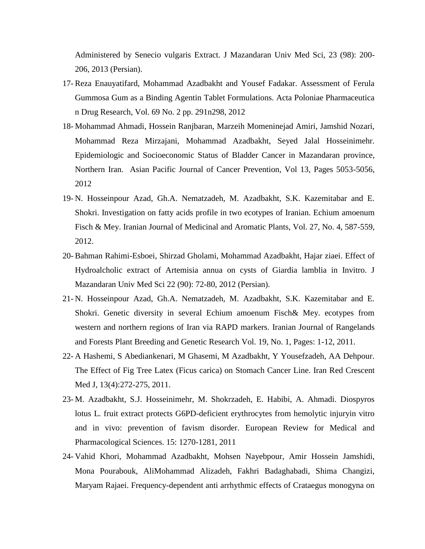Administered by Senecio vulgaris Extract. J Mazandaran Univ Med Sci, 23 (98): 200- 206, 2013 (Persian).

- 17- Reza Enauyatifard, Mohammad Azadbakht and Yousef Fadakar. Assessment of Ferula Gummosa Gum as a Binding Agentin Tablet Formulations. Acta Poloniae Pharmaceutica n Drug Research, Vol. 69 No. 2 pp. 291n298, 2012
- 18- Mohammad Ahmadi, Hossein Ranjbaran, Marzeih Momeninejad Amiri, Jamshid Nozari, Mohammad Reza Mirzajani, Mohammad Azadbakht, Seyed Jalal Hosseinimehr. Epidemiologic and Socioeconomic Status of Bladder Cancer in Mazandaran province, Northern Iran. Asian Pacific Journal of Cancer Prevention, Vol 13, Pages 5053-5056, 2012
- 19- N. Hosseinpour Azad, Gh.A. Nematzadeh, M. Azadbakht, S.K. Kazemitabar and E. Shokri. Investigation on fatty acids profile in two ecotypes of Iranian. Echium amoenum Fisch & Mey. Iranian Journal of Medicinal and Aromatic Plants, Vol. 27, No. 4, 587-559, 2012.
- 20- Bahman Rahimi-Esboei, Shirzad Gholami, Mohammad Azadbakht, Hajar ziaei. Effect of Hydroalcholic extract of Artemisia annua on cysts of Giardia lamblia in Invitro. J Mazandaran Univ Med Sci 22 (90): 72-80, 2012 (Persian).
- 21- N. Hosseinpour Azad, Gh.A. Nematzadeh, M. Azadbakht, S.K. Kazemitabar and E. Shokri. Genetic diversity in several Echium amoenum Fisch& Mey. ecotypes from western and northern regions of Iran via RAPD markers. Iranian Journal of Rangelands and Forests Plant Breeding and Genetic Research Vol. 19, No. 1, Pages: 1-12, 2011.
- 22- A Hashemi, S Abediankenari, M Ghasemi, M Azadbakht, Y Yousefzadeh, AA Dehpour. The Effect of Fig Tree Latex (Ficus carica) on Stomach Cancer Line. Iran Red Crescent Med J, 13(4):272-275, 2011.
- 23- M. Azadbakht, S.J. Hosseinimehr, M. Shokrzadeh, E. Habibi, A. Ahmadi. Diospyros lotus L. fruit extract protects G6PD-deficient erythrocytes from hemolytic injuryin vitro and in vivo: prevention of favism disorder. European Review for Medical and Pharmacological Sciences. 15: 1270-1281, 2011
- 24- Vahid Khori, Mohammad Azadbakht, Mohsen Nayebpour, Amir Hossein Jamshidi, Mona Pourabouk, AliMohammad Alizadeh, Fakhri Badaghabadi, Shima Changizi, Maryam Rajaei. Frequency-dependent anti arrhythmic effects of Crataegus monogyna on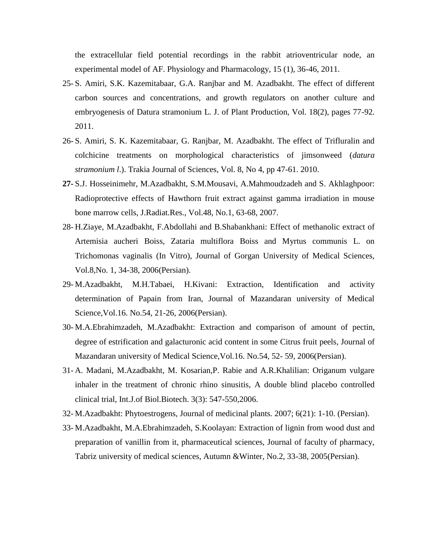the extracellular field potential recordings in the rabbit atrioventricular node, an experimental model of AF. Physiology and Pharmacology, 15 (1), 36-46, 2011.

- 25- S. Amiri, S.K. Kazemitabaar, G.A. Ranjbar and M. Azadbakht. The effect of different carbon sources and concentrations, and growth regulators on another culture and embryogenesis of Datura stramonium L. J. of Plant Production, Vol. 18(2), pages 77-92. 2011.
- 26- S. Amiri, S. K. Kazemitabaar, G. Ranjbar, M. Azadbakht. The effect of Trifluralin and colchicine treatments on morphological characteristics of jimsonweed (*datura stramonium l*.). Trakia Journal of Sciences, Vol. 8, No 4, pp 47-61. 2010.
- **27-** S.J. Hosseinimehr, M.Azadbakht, S.M.Mousavi, A.Mahmoudzadeh and S. Akhlaghpoor: Radioprotective effects of Hawthorn fruit extract against gamma irradiation in mouse bone marrow cells, J.Radiat.Res., Vol.48, No.1, 63-68, 2007.
- 28- H.Ziaye, M.Azadbakht, F.Abdollahi and B.Shabankhani: Effect of methanolic extract of Artemisia aucheri Boiss, Zataria multiflora Boiss and Myrtus communis L. on Trichomonas vaginalis (In Vitro), Journal of Gorgan University of Medical Sciences, Vol.8,No. 1, 34-38, 2006(Persian).
- 29- M.Azadbakht, M.H.Tabaei, H.Kivani: Extraction, Identification and activity determination of Papain from Iran, Journal of Mazandaran university of Medical Science,Vol.16. No.54, 21-26, 2006(Persian).
- 30- M.A.Ebrahimzadeh, M.Azadbakht: Extraction and comparison of amount of pectin, degree of estrification and galacturonic acid content in some Citrus fruit peels, Journal of Mazandaran university of Medical Science,Vol.16. No.54, 52- 59, 2006(Persian).
- 31- A. Madani, M.Azadbakht, M. Kosarian,P. Rabie and A.R.Khalilian: Origanum vulgare inhaler in the treatment of chronic rhino sinusitis, A double blind placebo controlled clinical trial, Int.J.of Biol.Biotech. 3(3): 547-550,2006.
- 32- M.Azadbakht: Phytoestrogens, Journal of medicinal plants. 2007; 6(21): 1-10. (Persian).
- 33- M.Azadbakht, M.A.Ebrahimzadeh, S.Koolayan: Extraction of lignin from wood dust and preparation of vanillin from it, pharmaceutical sciences, Journal of faculty of pharmacy, Tabriz university of medical sciences, Autumn &Winter, No.2, 33-38, 2005(Persian).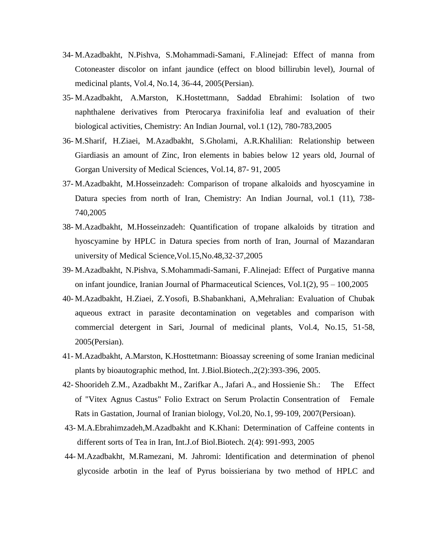- 34- M.Azadbakht, N.Pishva, S.Mohammadi-Samani, F.Alinejad: Effect of manna from Cotoneaster discolor on infant jaundice (effect on blood billirubin level), Journal of medicinal plants, Vol.4, No.14, 36-44, 2005(Persian).
- 35- M.Azadbakht, A.Marston, K.Hostettmann, Saddad Ebrahimi: Isolation of two naphthalene derivatives from Pterocarya fraxinifolia leaf and evaluation of their biological activities, Chemistry: An Indian Journal, vol.1 (12), 780-783,2005
- 36- M.Sharif, H.Ziaei, M.Azadbakht, S.Gholami, A.R.Khalilian: Relationship between Giardiasis an amount of Zinc, Iron elements in babies below 12 years old, Journal of Gorgan University of Medical Sciences, Vol.14, 87- 91, 2005
- 37- M.Azadbakht, M.Hosseinzadeh: Comparison of tropane alkaloids and hyoscyamine in Datura species from north of Iran, Chemistry: An Indian Journal, vol.1 (11), 738- 740,2005
- 38- M.Azadbakht, M.Hosseinzadeh: Quantification of tropane alkaloids by titration and hyoscyamine by HPLC in Datura species from north of Iran, Journal of Mazandaran university of Medical Science,Vol.15,No.48,32-37,2005
- 39- M.Azadbakht, N.Pishva, S.Mohammadi-Samani, F.Alinejad: Effect of Purgative manna on infant joundice, Iranian Journal of Pharmaceutical Sciences, Vol.1(2), 95 – 100,2005
- 40- M.Azadbakht, H.Ziaei, Z.Yosofi, B.Shabankhani, A,Mehralian: Evaluation of Chubak aqueous extract in parasite decontamination on vegetables and comparison with commercial detergent in Sari, Journal of medicinal plants, Vol.4, No.15, 51-58, 2005(Persian).
- 41- M.Azadbakht, A.Marston, K.Hosttetmann: Bioassay screening of some Iranian medicinal plants by bioautographic method, Int. J.Biol.Biotech.,2(2):393-396, 2005.
- 42- Shoorideh Z.M., Azadbakht M., Zarifkar A., Jafari A., and Hossienie Sh.: The Effect of "Vitex Agnus Castus" Folio Extract on Serum Prolactin Consentration of Female Rats in Gastation, Journal of Iranian biology, Vol.20, No.1, 99-109, 2007(Persioan).
- 43- M.A.Ebrahimzadeh,M.Azadbakht and K.Khani: Determination of Caffeine contents in different sorts of Tea in Iran, Int.J.of Biol.Biotech. 2(4): 991-993, 2005
- 44- M.Azadbakht, M.Ramezani, M. Jahromi: Identification and determination of phenol glycoside arbotin in the leaf of Pyrus boissieriana by two method of HPLC and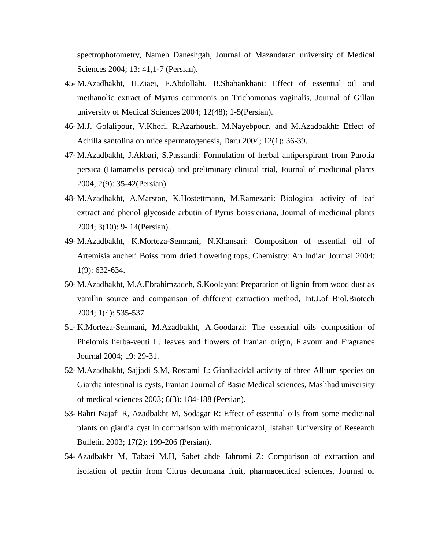spectrophotometry, Nameh Daneshgah, Journal of Mazandaran university of Medical Sciences 2004; 13: 41,1-7 (Persian).

- 45- M.Azadbakht, H.Ziaei, F.Abdollahi, B.Shabankhani: Effect of essential oil and methanolic extract of Myrtus commonis on Trichomonas vaginalis, Journal of Gillan university of Medical Sciences 2004; 12(48); 1-5(Persian).
- 46- M.J. Golalipour, V.Khori, R.Azarhoush, M.Nayebpour, and M.Azadbakht: Effect of Achilla santolina on mice spermatogenesis, Daru 2004; 12(1): 36-39.
- 47- M.Azadbakht, J.Akbari, S.Passandi: Formulation of herbal antiperspirant from Parotia persica (Hamamelis persica) and preliminary clinical trial, Journal of medicinal plants 2004; 2(9): 35-42(Persian).
- 48- M.Azadbakht, A.Marston, K.Hostettmann, M.Ramezani: Biological activity of leaf extract and phenol glycoside arbutin of Pyrus boissieriana, Journal of medicinal plants 2004; 3(10): 9- 14(Persian).
- 49- M.Azadbakht, K.Morteza-Semnani, N.Khansari: Composition of essential oil of Artemisia aucheri Boiss from dried flowering tops, Chemistry: An Indian Journal 2004; 1(9): 632-634.
- 50- M.Azadbakht, M.A.Ebrahimzadeh, S.Koolayan: Preparation of lignin from wood dust as vanillin source and comparison of different extraction method, Int.J.of Biol.Biotech 2004; 1(4): 535-537.
- 51- K.Morteza-Semnani, M.Azadbakht, A.Goodarzi: The essential oils composition of Phelomis herba-veuti L. leaves and flowers of Iranian origin, Flavour and Fragrance Journal 2004; 19: 29-31.
- 52- M.Azadbakht, Sajjadi S.M, Rostami J.: Giardiacidal activity of three Allium species on Giardia intestinal is cysts, Iranian Journal of Basic Medical sciences, Mashhad university of medical sciences 2003; 6(3): 184-188 (Persian).
- 53- Bahri Najafi R, Azadbakht M, Sodagar R: Effect of essential oils from some medicinal plants on giardia cyst in comparison with metronidazol, Isfahan University of Research Bulletin 2003; 17(2): 199-206 (Persian).
- 54- Azadbakht M, Tabaei M.H, Sabet ahde Jahromi Z: Comparison of extraction and isolation of pectin from Citrus decumana fruit, pharmaceutical sciences, Journal of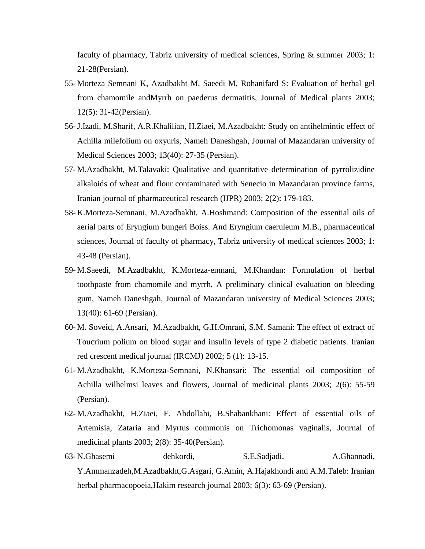faculty of pharmacy, Tabriz university of medical sciences, Spring & summer 2003; 1: 21-28(Persian).

- 55- Morteza Semnani K, Azadbakht M, Saeedi M, Rohanifard S: Evaluation of herbal gel from chamomile andMyrrh on paederus dermatitis, Journal of Medical plants 2003; 12(5): 31-42(Persian).
- 56-J.Izadi, M.Sharif, A.R.Khalilian, H.Ziaei, M.Azadbakht: Study on antihelmintic effect of Achilla milefolium on oxyuris, Nameh Daneshgah, Journal of Mazandaran university of Medical Sciences 2003; 13(40): 27-35 (Persian).
- 57- M.Azadbakht, M.Talavaki: Qualitative and quantitative determination of pyrrolizidine alkaloids of wheat and flour contaminated with Senecio in Mazandaran province farms, Iranian journal of pharmaceutical research (IJPR) 2003; 2(2): 179-183.
- 58- K.Morteza-Semnani, M.Azadbakht, A.Hoshmand: Composition of the essential oils of aerial parts of Eryngium bungeri Boiss. And Eryngium caeruleum M.B., pharmaceutical sciences, Journal of faculty of pharmacy, Tabriz university of medical sciences 2003; 1: 43-48 (Persian).
- 59- M.Saeedi, M.Azadbakht, K.Morteza-emnani, M.Khandan: Formulation of herbal toothpaste from chamomile and myrrh, A preliminary clinical evaluation on bleeding gum, Nameh Daneshgah, Journal of Mazandaran university of Medical Sciences 2003; 13(40): 61-69 (Persian).
- 60- M. Soveid, A.Ansari, M.Azadbakht, G.H.Omrani, S.M. Samani: The effect of extract of Toucrium polium on blood sugar and insulin levels of type 2 diabetic patients. Iranian red crescent medical journal (IRCMJ) 2002; 5 (1): 13-15.
- 61- M.Azadbakht, K.Morteza-Semnani, N.Khansari: The essential oil composition of Achilla wilhelmsi leaves and flowers, Journal of medicinal plants 2003; 2(6): 55-59 (Persian).
- 62- M.Azadbakht, H.Ziaei, F. Abdollahi, B.Shabankhani: Effect of essential oils of Artemisia, Zataria and Myrtus commonis on Trichomonas vaginalis, Journal of medicinal plants 2003; 2(8): 35-40(Persian).
- 63- N.Ghasemi dehkordi, S.E.Sadjadi, A.Ghannadi, Y.Ammanzadeh,M.Azadbakht,G.Asgari, G.Amin, A.Hajakhondi and A.M.Taleb: Iranian herbal pharmacopoeia,Hakim research journal 2003; 6(3): 63-69 (Persian).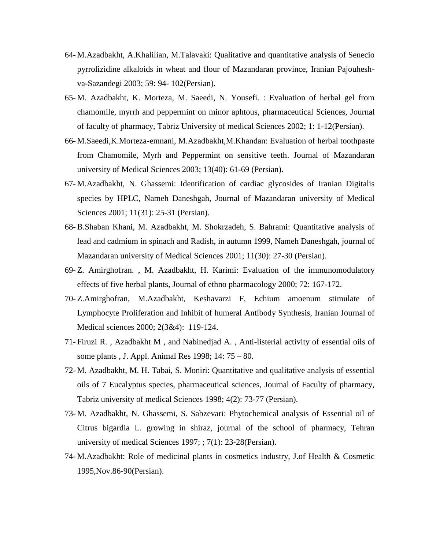- 64- M.Azadbakht, A.Khalilian, M.Talavaki: Qualitative and quantitative analysis of Senecio pyrrolizidine alkaloids in wheat and flour of Mazandaran province, Iranian Pajouheshva-Sazandegi 2003; 59: 94- 102(Persian).
- 65- M. Azadbakht, K. Morteza, M. Saeedi, N. Yousefi. : Evaluation of herbal gel from chamomile, myrrh and peppermint on minor aphtous, pharmaceutical Sciences, Journal of faculty of pharmacy, Tabriz University of medical Sciences 2002; 1: 1-12(Persian).
- 66- M.Saeedi,K.Morteza-emnani, M.Azadbakht,M.Khandan: Evaluation of herbal toothpaste from Chamomile, Myrh and Peppermint on sensitive teeth. Journal of Mazandaran university of Medical Sciences 2003; 13(40): 61-69 (Persian).
- 67- M.Azadbakht, N. Ghassemi: Identification of cardiac glycosides of Iranian Digitalis species by HPLC, Nameh Daneshgah, Journal of Mazandaran university of Medical Sciences 2001; 11(31): 25-31 (Persian).
- 68- B.Shaban Khani, M. Azadbakht, M. Shokrzadeh, S. Bahrami: Quantitative analysis of lead and cadmium in spinach and Radish, in autumn 1999, Nameh Daneshgah, journal of Mazandaran university of Medical Sciences 2001; 11(30): 27-30 (Persian).
- 69- Z. Amirghofran. , M. Azadbakht, H. Karimi: Evaluation of the immunomodulatory effects of five herbal plants, Journal of ethno pharmacology 2000; 72: 167-172.
- 70- Z.Amirghofran, M.Azadbakht, Keshavarzi F, Echium amoenum stimulate of Lymphocyte Proliferation and Inhibit of humeral Antibody Synthesis, Iranian Journal of Medical sciences 2000; 2(3&4): 119-124.
- 71- Firuzi R. , Azadbakht M , and Nabinedjad A. , Anti-listerial activity of essential oils of some plants , J. Appl. Animal Res 1998; 14: 75 – 80.
- 72- M. Azadbakht, M. H. Tabai, S. Moniri: Quantitative and qualitative analysis of essential oils of 7 Eucalyptus species, pharmaceutical sciences, Journal of Faculty of pharmacy, Tabriz university of medical Sciences 1998; 4(2): 73-77 (Persian).
- 73- M. Azadbakht, N. Ghassemi, S. Sabzevari: Phytochemical analysis of Essential oil of Citrus bigardia L. growing in shiraz, journal of the school of pharmacy, Tehran university of medical Sciences 1997; ; 7(1): 23-28(Persian).
- 74- M.Azadbakht: Role of medicinal plants in cosmetics industry, J.of Health & Cosmetic 1995,Nov.86-90(Persian).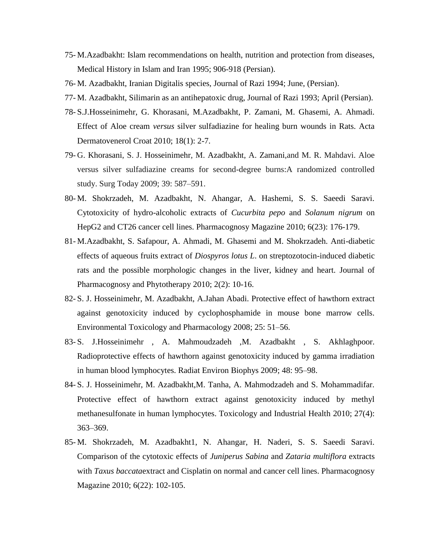- 75- M.Azadbakht: Islam recommendations on health, nutrition and protection from diseases, Medical History in Islam and Iran 1995; 906-918 (Persian).
- 76- M. Azadbakht, Iranian Digitalis species, Journal of Razi 1994; June, (Persian).
- 77- M. Azadbakht, Silimarin as an antihepatoxic drug, Journal of Razi 1993; April (Persian).
- 78- S.J.Hosseinimehr, G. Khorasani, M.Azadbakht, P. Zamani, M. Ghasemi, A. Ahmadi. Effect of Aloe cream *versus* silver sulfadiazine for healing burn wounds in Rats. Acta Dermatovenerol Croat 2010; 18(1): 2-7.
- 79- G. Khorasani, S. J. Hosseinimehr, M. Azadbakht, A. Zamani,and M. R. Mahdavi. Aloe versus silver sulfadiazine creams for second-degree burns:A randomized controlled study. Surg Today 2009; 39: 587–591.
- 80- M. Shokrzadeh, M. Azadbakht, N. Ahangar, A. Hashemi, S. S. Saeedi Saravi. Cytotoxicity of hydro-alcoholic extracts of *Cucurbita pepo* and *Solanum nigrum* on HepG2 and CT26 cancer cell lines. Pharmacognosy Magazine 2010; 6(23): 176-179.
- 81- M.Azadbakht, S. Safapour, A. Ahmadi, M. Ghasemi and M. Shokrzadeh. Anti-diabetic effects of aqueous fruits extract of *Diospyros lotus L*. on streptozotocin-induced diabetic rats and the possible morphologic changes in the liver, kidney and heart. Journal of Pharmacognosy and Phytotherapy 2010; 2(2): 10-16.
- 82- S. J. Hosseinimehr, M. Azadbakht, A.Jahan Abadi. Protective effect of hawthorn extract against genotoxicity induced by cyclophosphamide in mouse bone marrow cells. Environmental Toxicology and Pharmacology 2008; 25: 51–56.
- 83- S. J.Hosseinimehr , A. Mahmoudzadeh ,M. Azadbakht , S. Akhlaghpoor. Radioprotective effects of hawthorn against genotoxicity induced by gamma irradiation in human blood lymphocytes. Radiat Environ Biophys 2009; 48: 95–98.
- 84- S. J. Hosseinimehr, M. Azadbakht,M. Tanha, A. Mahmodzadeh and S. Mohammadifar. Protective effect of hawthorn extract against genotoxicity induced by methyl methanesulfonate in human lymphocytes. Toxicology and Industrial Health 2010; 27(4): 363–369.
- 85- M. Shokrzadeh, M. Azadbakht1, N. Ahangar, H. Naderi, S. S. Saeedi Saravi. Comparison of the cytotoxic effects of *Juniperus Sabina* and *Zataria multiflora* extracts with *Taxus baccata*extract and Cisplatin on normal and cancer cell lines. Pharmacognosy Magazine 2010; 6(22): 102-105.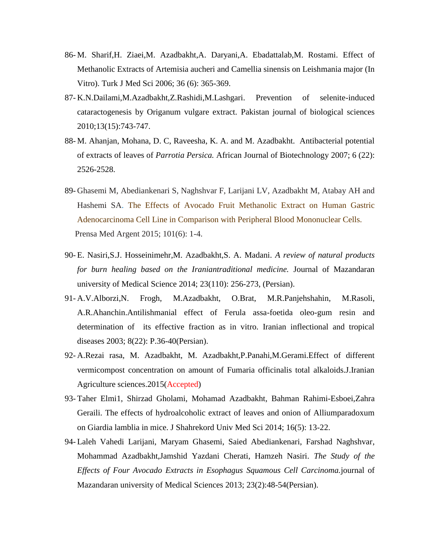- 86- M. Sharif,H. Ziaei,M. Azadbakht,A. Daryani,A. Ebadattalab,M. Rostami. Effect of Methanolic Extracts of Artemisia aucheri and Camellia sinensis on Leishmania major (In Vitro). Turk J Med Sci 2006; 36 (6): 365-369.
- 87- K.N.Dailami,M.Azadbakht,Z.Rashidi,M.Lashgari. Prevention of selenite-induced cataractogenesis by Origanum vulgare extract. Pakistan journal of biological sciences 2010;13(15):743-747.
- 88- M. Ahanjan, Mohana, D. C, Raveesha, K. A. and M. Azadbakht. Antibacterial potential of extracts of leaves of *Parrotia Persica.* African Journal of Biotechnology 2007; 6 (22): 2526-2528.
- 89- Ghasemi M, Abediankenari S, Naghshvar F, Larijani LV, Azadbakht M, Atabay AH and Hashemi SA. The Effects of Avocado Fruit Methanolic Extract on Human Gastric Adenocarcinoma Cell Line in Comparison with Peripheral Blood Mononuclear Cells. Prensa Med Argent 2015; 101(6): 1-4.
- 90- E. Nasiri,S.J. Hosseinimehr,M. Azadbakht,S. A. Madani. *A review of natural products for burn healing based on the Iraniantraditional medicine.* Journal of Mazandaran university of Medical Science 2014; 23(110): 256-273, (Persian).
- 91- A.V.Alborzi,N. Frogh, M.Azadbakht, O.Brat, M.R.Panjehshahin, M.Rasoli, A.R.Ahanchin.Antilishmanial effect of Ferula assa-foetida oleo-gum resin and determination of its effective fraction as in vitro. Iranian inflectional and tropical diseases 2003; 8(22): P.36-40(Persian).
- 92- A.Rezai rasa, M. Azadbakht, M. Azadbakht,P.Panahi,M.Gerami.Effect of different vermicompost concentration on amount of Fumaria officinalis total alkaloids.J.Iranian Agriculture sciences.2015(Accepted)
- 93- Taher Elmi1, Shirzad Gholami, Mohamad Azadbakht, Bahman Rahimi-Esboei,Zahra Geraili. The effects of hydroalcoholic extract of leaves and onion of Alliumparadoxum on Giardia lamblia in mice. J Shahrekord Univ Med Sci 2014; 16(5): 13-22.
- 94- Laleh Vahedi Larijani, Maryam Ghasemi, Saied Abediankenari, Farshad Naghshvar, Mohammad Azadbakht,Jamshid Yazdani Cherati, Hamzeh Nasiri. *The Study of the Effects of Four Avocado Extracts in Esophagus Squamous Cell Carcinoma.*journal of Mazandaran university of Medical Sciences 2013; 23(2):48-54(Persian).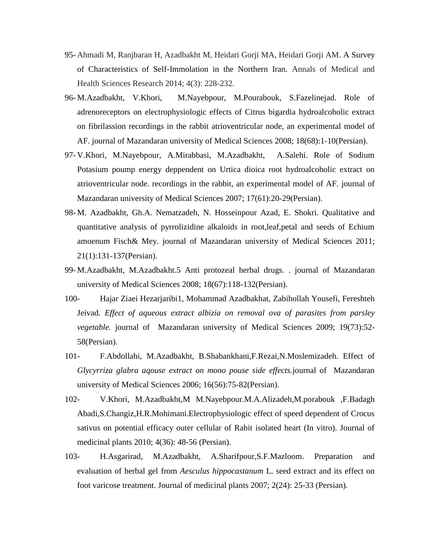- 95- Ahmadi M, Ranjbaran H, Azadbakht M, Heidari Gorji MA, Heidari Gorji AM. A Survey of Characteristics of Self-Immolation in the Northern Iran. Annals of Medical and Health Sciences Research 2014; 4(3): 228-232.
- 96- M.Azadbakht, V.Khori, M.Nayebpour, M.Pourabouk, S.Fazelinejad. Role of adrenoreceptors on electrophysiologic effects of Citrus bigardia hydroalcoholic extract on fibrilassion recordings in the rabbit atrioventricular node, an experimental model of AF. journal of Mazandaran university of Medical Sciences 2008; 18(68):1-10(Persian).
- 97- V.Khori, M.Nayebpour, A.Mirabbasi, M.Azadbakht, A.Salehi. Role of Sodium Potasium poump energy deppendent on Urtica dioica root hydroalcoholic extract on atrioventricular node. recordings in the rabbit, an experimental model of AF. journal of Mazandaran university of Medical Sciences 2007; 17(61):20-29(Persian).
- 98- M. Azadbakht, Gh.A. Nematzadeh, N. Hosseinpour Azad, E. Shokri. Qualitative and quantitative analysis of pyrrolizidine alkaloids in root,leaf,petal and seeds of Echium amoenum Fisch& Mey. journal of Mazandaran university of Medical Sciences 2011; 21(1):131-137(Persian).
- 99- M.Azadbakht, M.Azadbakht.5 Anti protozeal herbal drugs. . journal of Mazandaran university of Medical Sciences 2008; 18(67):118-132(Persian).
- 100- Hajar Ziaei Hezarjaribi1, Mohammad Azadbakhat, Zabihollah Yousefi, Fereshteh Jeivad. *Effect of aqueous extract albizia on removal ova of parasites from parsley vegetable.* journal of Mazandaran university of Medical Sciences 2009; 19(73):52- 58(Persian).
- 101- F.Abdollahi, M.Azadbakht, B.Shabankhani,F.Rezai,N.Moslemizadeh. Effect of *Glycyrriza glabra aqouse extract on mono pouse side effects.*journal of Mazandaran university of Medical Sciences 2006; 16(56):75-82(Persian).
- 102- V.Khori, M.Azadbakht,M M.Nayebpour.M.A.Alizadeh,M.porabouk ,F.Badagh Abadi,S.Changiz,H.R.Mohimani.Electrophysiologic effect of speed dependent of Crocus sativus on potential efficacy outer cellular of Rabit isolated heart (In vitro). Journal of medicinal plants 2010; 4(36): 48-56 (Persian).
- 103- H.Asgarirad, M.Azadbakht, A.Sharifpour,S.F.Mazloom. Preparation and evaluation of herbal gel from *Aesculus hippocastanum* L. seed extract and its effect on foot varicose treatment. Journal of medicinal plants 2007; 2(24): 25-33 (Persian).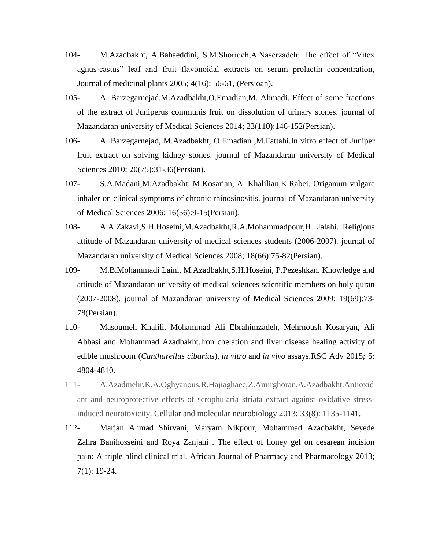- 104- M.Azadbakht, A.Bahaeddini, S.M.Shorideh,A.Naserzadeh: The effect of "Vitex agnus-castus" leaf and fruit flavonoidal extracts on serum prolactin concentration, Journal of medicinal plants 2005; 4(16): 56-61, (Persioan).
- 105- A. Barzegarnejad,M.Azadbakht,O.Emadian,M. Ahmadi. Effect of some fractions of the extract of Juniperus communis fruit on dissolution of urinary stones. journal of Mazandaran university of Medical Sciences 2014; 23(110):146-152(Persian).
- 106- A. Barzegarnejad, M.Azadbakht, O.Emadian ,M.Fattahi.In vitro effect of Juniper fruit extract on solving kidney stones. journal of Mazandaran university of Medical Sciences 2010; 20(75):31-36(Persian).
- 107- S.A.Madani,M.Azadbakht, M.Kosarian, A. Khalilian,K.Rabei. Origanum vulgare inhaler on clinical symptoms of chronic rhinosinositis*.* journal of Mazandaran university of Medical Sciences 2006; 16(56):9-15(Persian).
- 108- A.A.Zakavi,S.H.Hoseini,M.Azadbakht,R.A.Mohammadpour,H. Jalahi. Religious attitude of Mazandaran university of medical sciences students (2006-2007)*.* journal of Mazandaran university of Medical Sciences 2008; 18(66):75-82(Persian).
- 109- M.B.Mohammadi Laini, M.Azadbakht,S.H.Hoseini, P.Pezeshkan. Knowledge and attitude of Mazandaran university of medical sciences scientific members on holy quran (2007-2008)*.* journal of Mazandaran university of Medical Sciences 2009; 19(69):73- 78(Persian).
- 110- Masoumeh Khalili, Mohammad Ali Ebrahimzadeh, Mehrnoush Kosaryan, Ali Abbasi and Mohammad Azadbakht.Iron chelation and liver disease healing activity of edible mushroom (*Cantharellus cibarius*), *in vitro* and *in vivo* assays.RSC Adv 2015*;* 5: 4804-4810.
- 111- A.Azadmehr,K.A.Oghyanous,R.Hajiaghaee,Z.Amirghoran,A.Azadbakht.Antioxid ant and neuroprotective effects of scrophularia striata extract against oxidative stressinduced neurotoxicity. Cellular and molecular neurobiology 2013; 33(8): 1135-1141.
- 112- Marjan Ahmad Shirvani, Maryam Nikpour, Mohammad Azadbakht, Seyede Zahra Banihosseini and Roya Zanjani . The effect of honey gel on cesarean incision pain: A triple blind clinical trial. African Journal of Pharmacy and Pharmacology 2013; 7(1): 19-24.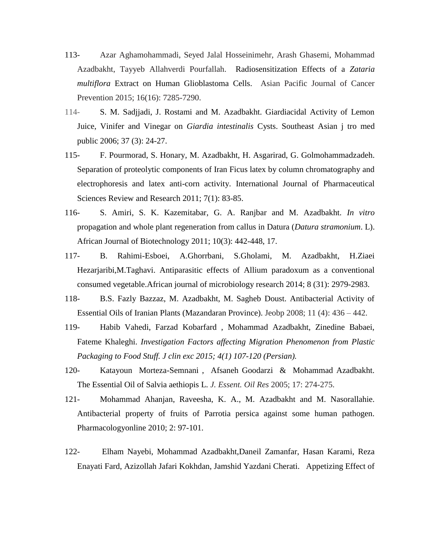- 113- Azar Aghamohammadi, Seyed Jalal Hosseinimehr, Arash Ghasemi, Mohammad Azadbakht, Tayyeb Allahverdi Pourfallah. Radiosensitization Effects of a *Zataria multiflora* Extract on Human Glioblastoma Cells. Asian Pacific Journal of Cancer Prevention 2015; 16(16): 7285-7290.
- 114- S. M. Sadjjadi, J. Rostami and M. Azadbakht. Giardiacidal Activity of Lemon Juice, Vinifer and Vinegar on *Giardia intestinalis* Cysts. Southeast Asian j tro med public 2006; 37 (3): 24-27.
- 115- F. Pourmorad, S. Honary, M. Azadbakht, H. Asgarirad, G. Golmohammadzadeh. Separation of proteolytic components of Iran Ficus latex by column chromatography and electrophoresis and latex anti-corn activity. International Journal of Pharmaceutical Sciences Review and Research 2011; 7(1): 83-85.
- 116- S. Amiri, S. K. Kazemitabar, G. A. Ranjbar and M. Azadbakht. *In vitro*  propagation and whole plant regeneration from callus in Datura (*Datura stramonium*. L). African Journal of Biotechnology 2011; 10(3): 442-448, 17.
- 117- B. Rahimi-Esboei, A.Ghorrbani, S.Gholami, M. Azadbakht, H.Ziaei Hezarjaribi,M.Taghavi. Antiparasitic effects of Allium paradoxum as a conventional consumed vegetable.African journal of microbiology research 2014; 8 (31): 2979-2983.
- 118- B.S. Fazly Bazzaz, M. Azadbakht, M. Sagheb Doust. Antibacterial Activity of Essential Oils of Iranian Plants (Mazandaran Province). Jeobp 2008; 11 (4): 436 – 442.
- 119- Habib Vahedi, Farzad Kobarfard , Mohammad Azadbakht, Zinedine Babaei, Fateme Khaleghi. *Investigation Factors affecting Migration Phenomenon from Plastic Packaging to Food Stuff. J clin exc 2015; 4(1) 107-120 (Persian).*
- 120- Katayoun Morteza-Semnani , Afsaneh Goodarzi & Mohammad Azadbakht. The Essential Oil of Salvia aethiopis L. *J. Essent. Oil Res* 2005; 17: 274-275.
- 121- Mohammad Ahanjan, Raveesha, K. A., M. Azadbakht and M. Nasorallahie. Antibacterial property of fruits of Parrotia persica against some human pathogen. Pharmacologyonline 2010; 2: 97-101.
- 122- Elham Nayebi, Mohammad Azadbakht,Daneil Zamanfar, Hasan Karami, Reza Enayati Fard, Azizollah Jafari Kokhdan, Jamshid Yazdani Cherati. Appetizing Effect of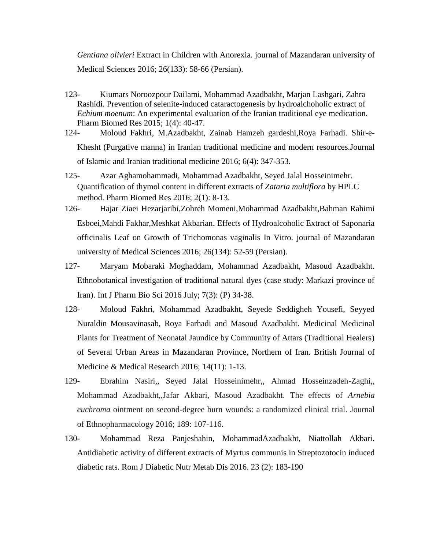*Gentiana olivieri* Extract in Children with Anorexia*.* journal of Mazandaran university of Medical Sciences 2016; 26(133): 58-66 (Persian).

- 123- Kiumars Noroozpour Dailami, Mohammad Azadbakht, Marjan Lashgari, Zahra Rashidi. Prevention of selenite-induced cataractogenesis by hydroalchoholic extract of *Echium moenum*: An experimental evaluation of the Iranian traditional eye medication. Pharm Biomed Res 2015; 1(4): 40-47.
- 124- Moloud Fakhri, M.Azadbakht, Zainab Hamzeh gardeshi,Roya Farhadi. Shir-e-Khesht (Purgative manna) in Iranian traditional medicine and modern resources.Journal of Islamic and Iranian traditional medicine 2016; 6(4): 347-353.
- 125- Azar Aghamohammadi, Mohammad Azadbakht, Seyed Jalal Hosseinimehr. Quantification of thymol content in different extracts of *Zataria multiflora* by HPLC method. Pharm Biomed Res 2016; 2(1): 8-13.
- 126- Hajar Ziaei Hezarjaribi,Zohreh Momeni,Mohammad Azadbakht,Bahman Rahimi Esboei,Mahdi Fakhar,Meshkat Akbarian. Effects of Hydroalcoholic Extract of Saponaria officinalis Leaf on Growth of Trichomonas vaginalis In Vitro*.* journal of Mazandaran university of Medical Sciences 2016; 26(134): 52-59 (Persian).
- 127- Maryam Mobaraki Moghaddam, Mohammad Azadbakht, Masoud Azadbakht. Ethnobotanical investigation of traditional natural dyes (case study: Markazi province of Iran). Int J Pharm Bio Sci 2016 July; 7(3): (P) 34-38.
- 128- Moloud Fakhri, Mohammad Azadbakht, Seyede Seddigheh Yousefi, Seyyed Nuraldin Mousavinasab, Roya Farhadi and Masoud Azadbakht. Medicinal Medicinal Plants for Treatment of Neonatal Jaundice by Community of Attars (Traditional Healers) of Several Urban Areas in Mazandaran Province, Northern of Iran. British Journal of Medicine & Medical Research 2016; 14(11): 1-13.
- 129- Ebrahim Nasiri,, Seyed Jalal Hosseinimehr,, Ahmad Hosseinzadeh-Zaghi,, Mohammad Azadbakht,,Jafar Akbari, Masoud Azadbakht. The effects of *Arnebia euchroma* ointment on second-degree burn wounds: a randomized clinical trial. Journal of Ethnopharmacology 2016; 189: 107-116.
- 130- Mohammad Reza Panjeshahin, MohammadAzadbakht, Niattollah Akbari*.* Antidiabetic activity of different extracts of Myrtus communis in Streptozotocin induced diabetic rats. Rom J Diabetic Nutr Metab Dis 2016. 23 (2): 183-190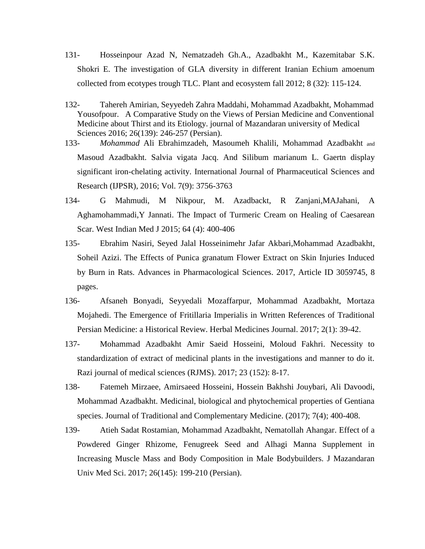- 131- Hosseinpour Azad N, Nematzadeh Gh.A., Azadbakht M., Kazemitabar S.K. Shokri E. The investigation of GLA diversity in different Iranian Echium amoenum collected from ecotypes trough TLC. Plant and ecosystem fall 2012; 8 (32): 115-124.
- 132- Tahereh Amirian, Seyyedeh Zahra Maddahi, Mohammad Azadbakht, Mohammad Yousofpour. A Comparative Study on the Views of Persian Medicine and Conventional Medicine about Thirst and its Etiology. journal of Mazandaran university of Medical Sciences 2016; 26(139): 246-257 (Persian).
- 133- *Mohammad* Ali Ebrahimzadeh, Masoumeh Khalili, Mohammad Azadbakht and Masoud Azadbakht. Salvia vigata Jacq. And Silibum marianum L. Gaertn display significant iron-chelating activity. International Journal of Pharmaceutical Sciences and Research (IJPSR), 2016; Vol. 7(9): 3756-3763
- 134- G Mahmudi, M Nikpour, M. Azadbackt, R Zanjani,MAJahani, A Aghamohammadi,Y Jannati. The Impact of Turmeric Cream on Healing of Caesarean Scar. West Indian Med J 2015; 64 (4): 400-406
- 135- Ebrahim Nasiri, Seyed Jalal Hosseinimehr Jafar Akbari,Mohammad Azadbakht, Soheil Azizi. The Effects of Punica granatum Flower Extract on Skin Injuries Induced by Burn in Rats. Advances in Pharmacological Sciences. 2017, Article ID 3059745, 8 pages.
- 136- Afsaneh Bonyadi, Seyyedali Mozaffarpur, Mohammad Azadbakht, Mortaza Mojahedi. The Emergence of Fritillaria Imperialis in Written References of Traditional Persian Medicine: a Historical Review. Herbal Medicines Journal. 2017; 2(1): 39-42.
- 137- Mohammad Azadbakht Amir Saeid Hosseini, Moloud Fakhri. Necessity to standardization of extract of medicinal plants in the investigations and manner to do it. Razi journal of medical sciences (RJMS). 2017; 23 (152): 8-17.
- 138- Fatemeh Mirzaee, Amirsaeed Hosseini, Hossein Bakhshi Jouybari, Ali Davoodi, Mohammad Azadbakht. Medicinal, biological and phytochemical properties of Gentiana species. Journal of Traditional and Complementary Medicine. (2017); 7(4); 400-408.
- 139- Atieh Sadat Rostamian, Mohammad Azadbakht, Nematollah Ahangar. Effect of a Powdered Ginger Rhizome, Fenugreek Seed and Alhagi Manna Supplement in Increasing Muscle Mass and Body Composition in Male Bodybuilders. J Mazandaran Univ Med Sci. 2017; 26(145): 199-210 (Persian).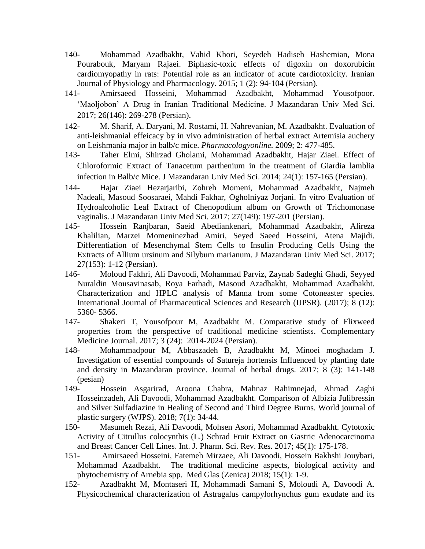- 140- Mohammad Azadbakht, Vahid Khori, Seyedeh Hadiseh Hashemian, Mona Pourabouk, Maryam Rajaei. Biphasic-toxic effects of digoxin on doxorubicin cardiomyopathy in rats: Potential role as an indicator of acute cardiotoxicity. Iranian Journal of Physiology and Pharmacology. 2015; 1 (2): 94‐104 (Persian).
- 141- Amirsaeed Hosseini, Mohammad Azadbakht, Mohammad Yousofpoor. 'Maoljobon' A Drug in Iranian Traditional Medicine. J Mazandaran Univ Med Sci. 2017; 26(146): 269-278 (Persian).
- 142- M. Sharif, A. Daryani, M. Rostami, H. Nahrevanian, M. Azadbakht. Evaluation of anti-leishmanial effeicacy by in vivo administration of herbal extract Artemisia auchery on Leishmania major in balb/c mice. *Pharmacologyonline.* 2009; 2: 477-485.
- 143- Taher Elmi, Shirzad Gholami, Mohammad Azadbakht, Hajar Ziaei. Effect of Chloroformic Extract of Tanacetum parthenium in the treatment of Giardia lamblia infection in Balb/c Mice. J Mazandaran Univ Med Sci. 2014; 24(1): 157-165 (Persian).
- 144- Hajar Ziaei Hezarjaribi, Zohreh Momeni, Mohammad Azadbakht, Najmeh Nadeali, Masoud Soosaraei, Mahdi Fakhar, Ogholniyaz Jorjani. In vitro Evaluation of Hydroalcoholic Leaf Extract of Chenopodium album on Growth of Trichomonase vaginalis. J Mazandaran Univ Med Sci. 2017; 27(149): 197-201 (Persian).
- 145- Hossein Ranjbaran, Saeid Abediankenari, Mohammad Azadbakht, Alireza Khalilian, Marzei Momeninezhad Amiri, Seyed Saeed Hosseini, Atena Majidi. Differentiation of Mesenchymal Stem Cells to Insulin Producing Cells Using the Extracts of Allium ursinum and Silybum marianum. J Mazandaran Univ Med Sci. 2017; 27(153): 1-12 (Persian).
- 146- Moloud Fakhri, Ali Davoodi, Mohammad Parviz, Zaynab Sadeghi Ghadi, Seyyed Nuraldin Mousavinasab, Roya Farhadi, Masoud Azadbakht, Mohammad Azadbakht. Characterization and HPLC analysis of Manna from some Cotoneaster species. International Journal of Pharmaceutical Sciences and Research (IJPSR). (2017); 8 (12): 5360- 5366.
- 147- Shakeri T, Yousofpour M, Azadbakht M. Comparative study of Flixweed properties from the perspective of traditional medicine scientists. Complementary Medicine Journal. 2017; 3 (24): 2014-2024 (Persian).
- 148- Mohammadpour M, Abbaszadeh B, Azadbakht M, Minoei moghadam J. Investigation of essential compounds of Satureja hortensis Influenced by planting date and density in Mazandaran province. Journal of herbal drugs. 2017; 8 (3): 141-148 (pesian)
- 149- Hossein Asgarirad, Aroona Chabra, Mahnaz Rahimnejad, Ahmad Zaghi Hosseinzadeh, Ali Davoodi, Mohammad Azadbakht. Comparison of Albizia Julibressin and Silver Sulfadiazine in Healing of Second and Third Degree Burns. World journal of plastic surgery (WJPS). 2018; 7(1): 34-44.
- 150- Masumeh Rezai, Ali Davoodi, Mohsen Asori, Mohammad Azadbakht. Cytotoxic Activity of Citrullus colocynthis (L.) Schrad Fruit Extract on Gastric Adenocarcinoma and Breast Cancer Cell Lines. Int. J. Pharm. Sci. Rev. Res. 2017; 45(1): 175-178.
- 151- Amirsaeed Hosseini, Fatemeh Mirzaee, Ali Davoodi, Hossein Bakhshi Jouybari, Mohammad Azadbakht. The traditional medicine aspects, biological activity and phytochemistry of Arnebia spp. Med Glas (Zenica) 2018; 15(1): 1-9.
- 152- Azadbakht M, Montaseri H, Mohammadi Samani S, Moloudi A, Davoodi A. Physicochemical characterization of Astragalus campylorhynchus gum exudate and its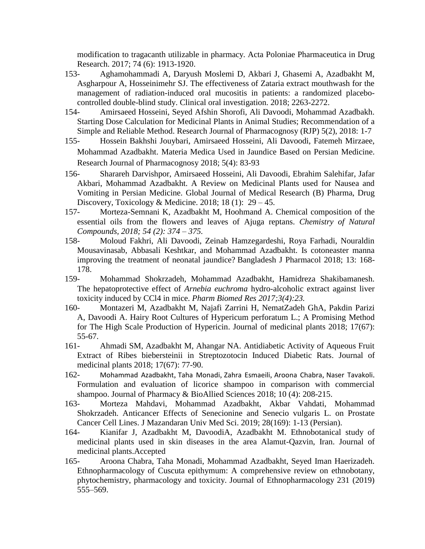modification to tragacanth utilizable in pharmacy. Acta Poloniae Pharmaceutica in Drug Research. 2017; 74 (6): 1913-1920.

- 153- Aghamohammadi A, Daryush Moslemi D, Akbari J, Ghasemi A, Azadbakht M, Asgharpour A, Hosseinimehr SJ. The effectiveness of Zataria extract mouthwash for the management of radiation-induced oral mucositis in patients: a randomized placebocontrolled double-blind study. Clinical oral investigation. 2018; 2263-2272.
- 154- Amirsaeed Hosseini, Seyed Afshin Shorofi, Ali Davoodi, Mohammad Azadbakh. Starting Dose Calculation for Medicinal Plants in Animal Studies; Recommendation of a Simple and Reliable Method. Research Journal of Pharmacognosy (RJP) 5(2), 2018: 1-7
- 155- Hossein Bakhshi Jouybari, Amirsaeed Hosseini, Ali Davoodi, Fatemeh Mirzaee, Mohammad Azadbakht. Materia Medica Used in Jaundice Based on Persian Medicine. Research Journal of Pharmacognosy 2018; 5(4): 83-93
- 156- Sharareh Darvishpor, Amirsaeed Hosseini, Ali Davoodi, Ebrahim Salehifar, Jafar Akbari, Mohammad Azadbakht. A Review on Medicinal Plants used for Nausea and Vomiting in Persian Medicine. Global Journal of Medical Research (B) Pharma, Drug Discovery, Toxicology & Medicine. 2018; 18 (1):  $29-45$ .
- 157- Morteza-Semnani K, Azadbakht M, Hoohmand A. Chemical composition of the essential oils from the flowers and leaves of Ajuga reptans. *Chemistry of Natural Compounds, 2018; 54 (2): 374 – 375.*
- 158- Moloud Fakhri, Ali Davoodi, Zeinab Hamzegardeshi, Roya Farhadi, Nouraldin Mousavinasab, Abbasali Keshtkar, and Mohammad Azadbakht. Is cotoneaster manna improving the treatment of neonatal jaundice? Bangladesh J Pharmacol 2018; 13: 168- 178.
- 159- Mohammad Shokrzadeh, Mohammad Azadbakht, Hamidreza Shakibamanesh. The hepatoprotective effect of *Arnebia euchroma* hydro-alcoholic extract against liver toxicity induced by CCl4 in mice. *Pharm Biomed Res 2017;3(4):23.*
- 160- Montazeri M, Azadbakht M, Najafi Zarrini H, NematZadeh GhA, Pakdin Parizi A, Davoodi A. Hairy Root Cultures of Hypericum perforatum L.; A Promising Method for The High Scale Production of Hypericin. Journal of medicinal plants 2018; 17(67): 55-67.
- 161- Ahmadi SM, Azadbakht M, Ahangar NA. Antidiabetic Activity of Aqueous Fruit Extract of Ribes biebersteinii in Streptozotocin Induced Diabetic Rats. Journal of medicinal plants 2018; 17(67): 77-90.
- 162- [Mohammad](http://www.jpbsonline.org/searchresult.asp?search=&author=Mohammad+Azadbakht&journal=Y&but_search=Search&entries=10&pg=1&s=0) Azadbakht, Taha [Monadi](http://www.jpbsonline.org/searchresult.asp?search=&author=Taha+Monadi&journal=Y&but_search=Search&entries=10&pg=1&s=0), Zahra [Esmaeili](http://www.jpbsonline.org/searchresult.asp?search=&author=Zahra+Esmaeili&journal=Y&but_search=Search&entries=10&pg=1&s=0), [Aroona](http://www.jpbsonline.org/searchresult.asp?search=&author=Aroona+Chabra&journal=Y&but_search=Search&entries=10&pg=1&s=0) Chabra, Naser [Tavakoli](http://www.jpbsonline.org/searchresult.asp?search=&author=Naser+Tavakoli&journal=Y&but_search=Search&entries=10&pg=1&s=0). Formulation and evaluation of licorice shampoo in comparison with commercial shampoo. Journal of Pharmacy & BioAllied Sciences 2018; 10 (4): 208-215.
- 163- Morteza Mahdavi, Mohammad Azadbakht, Akbar Vahdati, Mohammad Shokrzadeh. Anticancer Effects of Senecionine and Senecio vulgaris L. on Prostate Cancer Cell Lines. J Mazandaran Univ Med Sci. 2019; 28(169): 1-13 (Persian).
- 164- Kianifar J, Azadbakht M, DavoodiA, Azadbakht M. Ethnobotanical study of medicinal plants used in skin diseases in the area Alamut-Qazvin, Iran. Journal of medicinal plants.Accepted
- 165- Aroona Chabra, Taha Monadi, Mohammad Azadbakht, Seyed Iman Haerizadeh. Ethnopharmacology of Cuscuta epithymum: A comprehensive review on ethnobotany, phytochemistry, pharmacology and toxicity. Journal of Ethnopharmacology 231 (2019) 555–569.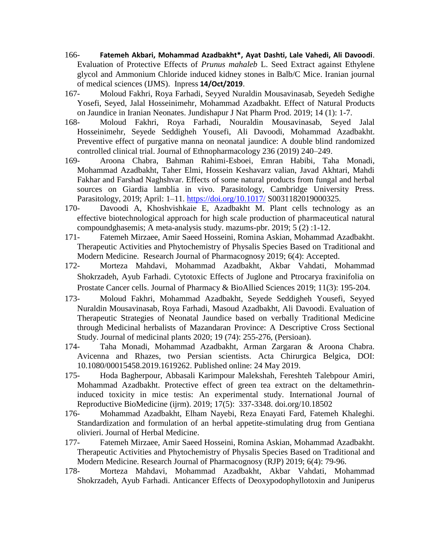- 166- **Fatemeh Akbari, Mohammad Azadbakht\*, Ayat Dashti, Lale Vahedi, Ali Davoodi**. Evaluation of Protective Effects of *Prunus mahaleb* L. Seed Extract against Ethylene glycol and Ammonium Chloride induced kidney stones in Balb/C Mice. Iranian journal of medical sciences (IJMS). Inpress **14/Oct/2019**.
- 167- Moloud Fakhri, Roya Farhadi, Seyyed Nuraldin Mousavinasab, Seyedeh Sedighe Yosefi, Seyed, Jalal Hosseinimehr, Mohammad Azadbakht. Effect of Natural Products on Jaundice in Iranian Neonates. Jundishapur J Nat Pharm Prod. 2019; 14 (1): 1-7.
- 168- Moloud Fakhri, Roya Farhadi, Nouraldin Mousavinasab, Seyed Jalal Hosseinimehr, Seyede Seddigheh Yousefi, Ali Davoodi, Mohammad Azadbakht. Preventive effect of purgative manna on neonatal jaundice: A double blind randomized controlled clinical trial. Journal of Ethnopharmacology 236 (2019) 240–249.
- 169- Aroona Chabra, Bahman Rahimi-Esboei, Emran Habibi, Taha Monadi, Mohammad Azadbakht, Taher Elmi, Hossein Keshavarz valian, Javad Akhtari, Mahdi Fakhar and Farshad Naghshvar. Effects of some natural products from fungal and herbal sources on Giardia lamblia in vivo. Parasitology, Cambridge University Press. Parasitology, 2019; April: 1–11.<https://doi.org/10.1017/> S0031182019000325.
- 170- Davoodi A, Khoshvishkaie E, Azadbakht M. Plant cells technology as an effective biotechnological approach for high scale production of pharmaceutical natural compoundghasemis; A meta-analysis study. mazums-pbr. 2019; 5 (2) :1-12.
- 171- Fatemeh Mirzaee, Amir Saeed Hosseini, Romina Askian, Mohammad Azadbakht. Therapeutic Activities and Phytochemistry of Physalis Species Based on Traditional and Modern Medicine. Research Journal of Pharmacognosy 2019; 6(4): Accepted.
- 172- Morteza Mahdavi, Mohammad Azadbakht, Akbar Vahdati, Mohammad Shokrzadeh, Ayub Farhadi. Cytotoxic Effects of Juglone and Ptrocarya fraxinifolia on Prostate Cancer cells. Journal of Pharmacy & BioAllied Sciences 2019; 11(3): 195-204.
- 173- Moloud Fakhri, Mohammad Azadbakht, Seyede Seddigheh Yousefi, Seyyed Nuraldin Mousavinasab, Roya Farhadi, Masoud Azadbakht, Ali Davoodi. Evaluation of Therapeutic Strategies of Neonatal Jaundice based on verbally Traditional Medicine through Medicinal herbalists of Mazandaran Province: A Descriptive Cross Sectional Study. Journal of medicinal plants 2020; 19 (74): 255-276, (Persioan).
- 174- Taha Monadi, Mohammad Azadbakht, Arman Zargaran & Aroona Chabra. Avicenna and Rhazes, two Persian scientists. Acta Chirurgica Belgica, DOI: 10.1080/00015458.2019.1619262. Published online: 24 May 2019.
- 175- Hoda Bagherpour, Abbasali Karimpour Malekshah, Fereshteh Talebpour Amiri, Mohammad Azadbakht. Protective effect of green tea extract on the deltamethrininduced toxicity in mice testis: An experimental study. International Journal of Reproductive BioMedicine (ijrm). 2019; 17(5): 337-3348. doi.org/10.18502
- 176- Mohammad Azadbakht, Elham Nayebi, Reza Enayati Fard, Fatemeh Khaleghi. Standardization and formulation of an herbal appetite-stimulating drug from Gentiana olivieri. Journal of Herbal Medicine.
- 177- Fatemeh Mirzaee, Amir Saeed Hosseini, Romina Askian, Mohammad Azadbakht. Therapeutic Activities and Phytochemistry of Physalis Species Based on Traditional and Modern Medicine. Research Journal of Pharmacognosy (RJP) 2019; 6(4): 79-96.
- 178- Morteza Mahdavi, Mohammad Azadbakht, Akbar Vahdati, Mohammad Shokrzadeh, Ayub Farhadi. Anticancer Effects of Deoxypodophyllotoxin and Juniperus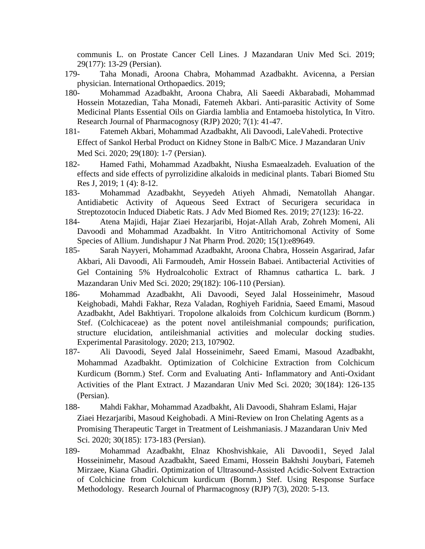communis L. on Prostate Cancer Cell Lines. J Mazandaran Univ Med Sci. 2019; 29(177): 13-29 (Persian).

- 179- Taha Monadi, Aroona Chabra, Mohammad Azadbakht. Avicenna, a Persian physician. International Orthopaedics. 2019;
- 180- Mohammad Azadbakht, Aroona Chabra, Ali Saeedi Akbarabadi, Mohammad Hossein Motazedian, Taha Monadi, Fatemeh Akbari. Anti-parasitic Activity of Some Medicinal Plants Essential Oils on Giardia lamblia and Entamoeba histolytica, In Vitro. Research Journal of Pharmacognosy (RJP) 2020; 7(1): 41-47.
- 181- Fatemeh Akbari, Mohammad Azadbakht, Ali Davoodi, LaleVahedi. Protective Effect of Sankol Herbal Product on Kidney Stone in Balb/C Mice. J Mazandaran Univ Med Sci. 2020; 29(180): 1-7 (Persian).
- 182- Hamed Fathi, Mohammad Azadbakht, Niusha Esmaealzadeh. Evaluation of the effects and side effects of pyrrolizidine alkaloids in medicinal plants. Tabari Biomed Stu Res J, 2019; 1 (4): 8-12.
- 183- Mohammad Azadbakht, Seyyedeh Atiyeh Ahmadi, Nematollah Ahangar. Antidiabetic Activity of Aqueous Seed Extract of Securigera securidaca in Streptozotocin Induced Diabetic Rats. J Adv Med Biomed Res. 2019; 27(123): 16-22.
- 184- Atena Majidi, Hajar Ziaei Hezarjaribi, Hojat-Allah Arab, Zohreh Momeni, Ali Davoodi and Mohammad Azadbakht. In Vitro Antitrichomonal Activity of Some Species of Allium. Jundishapur J Nat Pharm Prod. 2020; 15(1):e89649.
- 185- Sarah Nayyeri, Mohammad Azadbakht, Aroona Chabra, Hossein Asgarirad, Jafar Akbari, Ali Davoodi, Ali Farmoudeh, Amir Hossein Babaei. Antibacterial Activities of Gel Containing 5% Hydroalcoholic Extract of Rhamnus cathartica L. bark. J Mazandaran Univ Med Sci. 2020; 29(182): 106-110 (Persian).
- 186- Mohammad Azadbakht, Ali Davoodi, Seyed Jalal Hosseinimehr, Masoud Keighobadi, Mahdi Fakhar, Reza Valadan, Roghiyeh Faridnia, Saeed Emami, Masoud Azadbakht, Adel Bakhtiyari. Tropolone alkaloids from Colchicum kurdicum (Bornm.) Stef. (Colchicaceae) as the potent novel antileishmanial compounds; purification, structure elucidation, antileishmanial activities and molecular docking studies. Experimental Parasitology. 2020; 213, 107902.
- 187- Ali Davoodi, Seyed Jalal Hosseinimehr, Saeed Emami, Masoud Azadbakht, Mohammad Azadbakht. Optimization of Colchicine Extraction from Colchicum Kurdicum (Bornm.) Stef. Corm and Evaluating Anti- Inflammatory and Anti-Oxidant Activities of the Plant Extract. J Mazandaran Univ Med Sci. 2020; 30(184): 126-135 (Persian).
- 188- Mahdi Fakhar, Mohammad Azadbakht, Ali Davoodi, Shahram Eslami, Hajar Ziaei Hezarjaribi, Masoud Keighobadi. A Mini-Review on Iron Chelating Agents as a Promising Therapeutic Target in Treatment of Leishmaniasis. J Mazandaran Univ Med Sci. 2020; 30(185): 173-183 (Persian).
- 189- Mohammad Azadbakht, Elnaz Khoshvishkaie, Ali Davoodi1, Seyed Jalal Hosseinimehr, Masoud Azadbakht, Saeed Emami, Hossein Bakhshi Jouybari, Fatemeh Mirzaee, Kiana Ghadiri. Optimization of Ultrasound-Assisted Acidic-Solvent Extraction of Colchicine from Colchicum kurdicum (Bornm.) Stef. Using Response Surface Methodology. Research Journal of Pharmacognosy (RJP) 7(3), 2020: 5-13.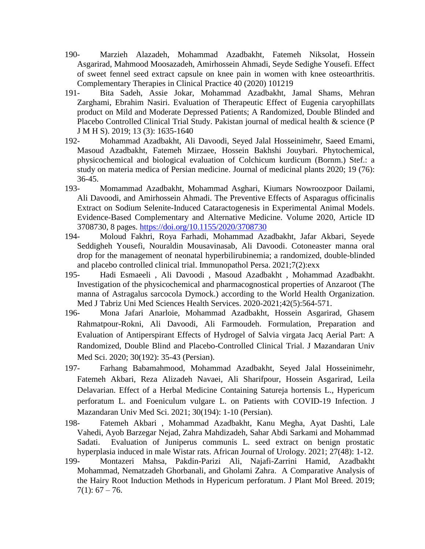- 190- Marzieh Alazadeh, Mohammad Azadbakht, Fatemeh Niksolat, Hossein Asgarirad, Mahmood Moosazadeh, Amirhossein Ahmadi, Seyde Sedighe Yousefi. Effect of sweet fennel seed extract capsule on knee pain in women with knee osteoarthritis. Complementary Therapies in Clinical Practice 40 (2020) 101219
- 191- Bita Sadeh, Assie Jokar, Mohammad Azadbakht, Jamal Shams, Mehran Zarghami, Ebrahim Nasiri. Evaluation of Therapeutic Effect of Eugenia caryophillats product on Mild and Moderate Depressed Patients; A Randomized, Double Blinded and Placebo Controlled Clinical Trial Study. Pakistan journal of medical health & science (P J M H S). 2019; 13 (3): 1635-1640
- 192- Mohammad Azadbakht, Ali Davoodi, Seyed Jalal Hosseinimehr, Saeed Emami, Masoud Azadbakht, Fatemeh Mirzaee, Hossein Bakhshi Jouybari. Phytochemical, physicochemical and biological evaluation of Colchicum kurdicum (Bornm.) Stef.: a study on materia medica of Persian medicine. Journal of medicinal plants 2020; 19 (76): 36-45.
- 193- Momammad Azadbakht, Mohammad Asghari, Kiumars Nowroozpoor Dailami, Ali Davoodi, and Amirhossein Ahmadi. The Preventive Effects of Asparagus officinalis Extract on Sodium Selenite-Induced Cataractogenesis in Experimental Animal Models. Evidence-Based Complementary and Alternative Medicine. Volume 2020, Article ID 3708730, 8 pages. <https://doi.org/10.1155/2020/3708730>
- 194- Moloud Fakhri, Roya Farhadi, Mohammad Azadbakht, Jafar Akbari, Seyede Seddigheh Yousefi, Nouraldin Mousavinasab, Ali Davoodi. Cotoneaster manna oral drop for the management of neonatal hyperbilirubinemia; a randomized, double-blinded and placebo controlled clinical trial. Immunopathol Persa. 2021;7(2):exx
- 195- Hadi Esmaeeli , Ali Davoodi , Masoud Azadbakht , Mohammad Azadbakht. Investigation of the physicochemical and pharmacognostical properties of Anzaroot (The manna of Astragalus sarcocola Dymock.) according to the World Health Organization. Med J Tabriz Uni Med Sciences Health Services. 2020-2021;42(5):564-571.
- 196- Mona Jafari Anarloie, Mohammad Azadbakht, Hossein Asgarirad, Ghasem Rahmatpour-Rokni, Ali Davoodi, Ali Farmoudeh. Formulation, Preparation and Evaluation of Antiperspirant Effects of Hydrogel of Salvia virgata Jacq Aerial Part: A Randomized, Double Blind and Placebo-Controlled Clinical Trial. J Mazandaran Univ Med Sci. 2020; 30(192): 35-43 (Persian).
- 197- Farhang Babamahmood, Mohammad Azadbakht, Seyed Jalal Hosseinimehr, Fatemeh Akbari, Reza Alizadeh Navaei, Ali Sharifpour, Hossein Asgarirad, Leila Delavarian. Effect of a Herbal Medicine Containing Satureja hortensis L., Hypericum perforatum L. and Foeniculum vulgare L. on Patients with COVID-19 Infection. J Mazandaran Univ Med Sci. 2021; 30(194): 1-10 (Persian).
- 198- Fatemeh Akbari , Mohammad Azadbakht, Kanu Megha, Ayat Dashti, Lale Vahedi, Ayob Barzegar Nejad, Zahra Mahdizadeh, Sahar Abdi Sarkami and Mohammad Sadati. Evaluation of Juniperus communis L. seed extract on benign prostatic hyperplasia induced in male Wistar rats. African Journal of Urology. 2021; 27(48): 1-12.
- 199- Montazeri Mahsa, Pakdin-Parizi Ali, Najafi-Zarrini Hamid, Azadbakht Mohammad, Nematzadeh Ghorbanali, and Gholami Zahra. A Comparative Analysis of the Hairy Root Induction Methods in Hypericum perforatum. J Plant Mol Breed. 2019;  $7(1): 67 - 76.$